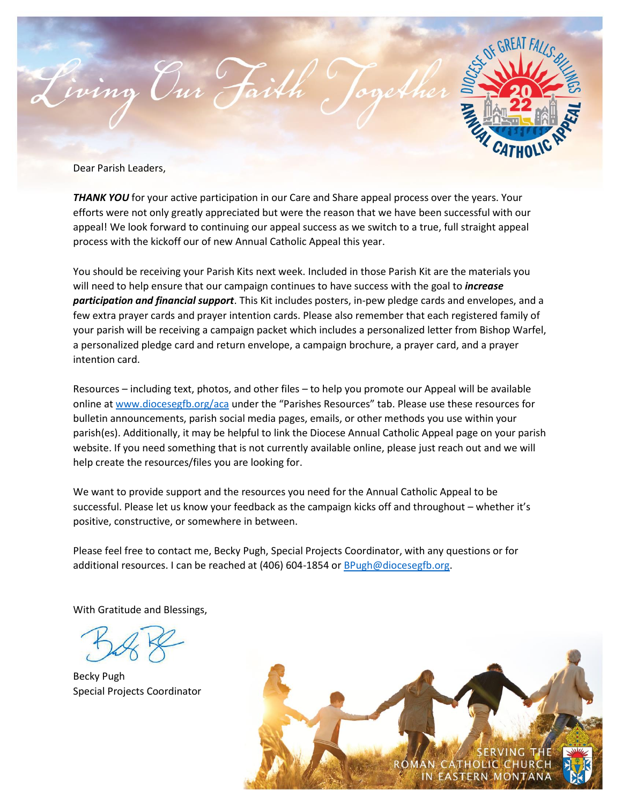

Dear Parish Leaders,

*THANK YOU* for your active participation in our Care and Share appeal process over the years. Your efforts were not only greatly appreciated but were the reason that we have been successful with our appeal! We look forward to continuing our appeal success as we switch to a true, full straight appeal process with the kickoff our of new Annual Catholic Appeal this year.

You should be receiving your Parish Kits next week. Included in those Parish Kit are the materials you will need to help ensure that our campaign continues to have success with the goal to *increase participation and financial support*. This Kit includes posters, in-pew pledge cards and envelopes, and a few extra prayer cards and prayer intention cards. Please also remember that each registered family of your parish will be receiving a campaign packet which includes a personalized letter from Bishop Warfel, a personalized pledge card and return envelope, a campaign brochure, a prayer card, and a prayer intention card.

Resources – including text, photos, and other files – to help you promote our Appeal will be available online at [www.diocesegfb.org/aca](http://www.diocesegfb.org/aca) under the "Parishes Resources" tab. Please use these resources for bulletin announcements, parish social media pages, emails, or other methods you use within your parish(es). Additionally, it may be helpful to link the Diocese Annual Catholic Appeal page on your parish website. If you need something that is not currently available online, please just reach out and we will help create the resources/files you are looking for.

We want to provide support and the resources you need for the Annual Catholic Appeal to be successful. Please let us know your feedback as the campaign kicks off and throughout – whether it's positive, constructive, or somewhere in between.

Please feel free to contact me, Becky Pugh, Special Projects Coordinator, with any questions or for additional resources. I can be reached at (406) 604-1854 o[r BPugh@diocesegfb.org.](mailto:BPugh@diocesegfb.org)

With Gratitude and Blessings,

Becky Pugh Special Projects Coordinator

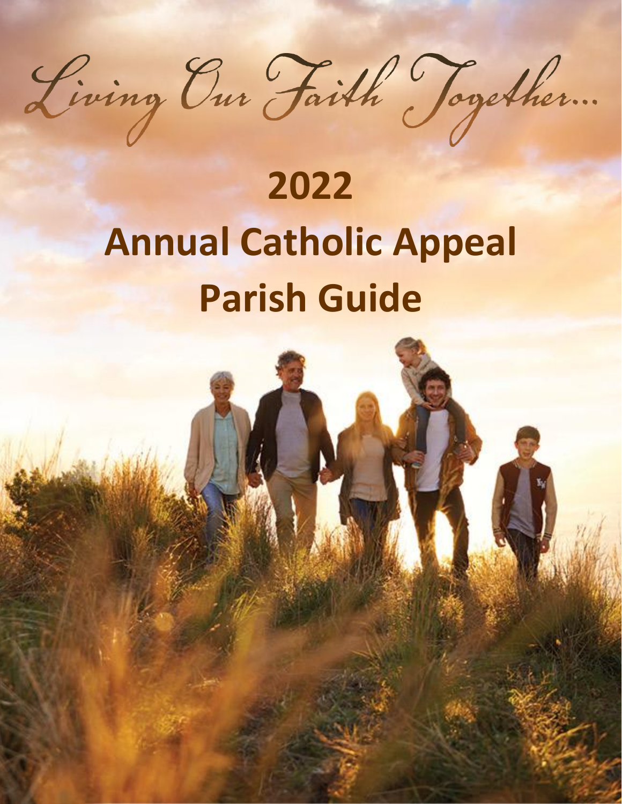

# **2022 Annual Catholic Appeal Parish Guide**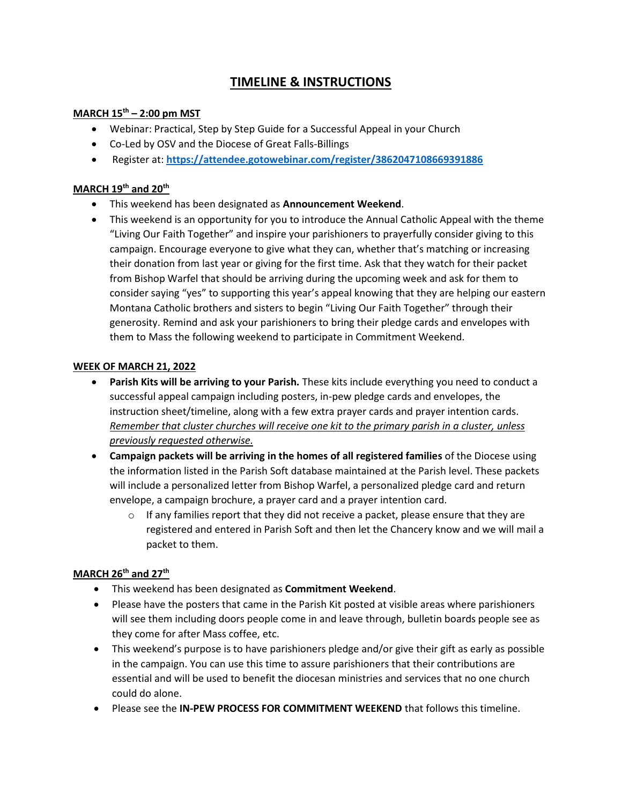# **TIMELINE & INSTRUCTIONS**

## **MARCH 15th – 2:00 pm MST**

- Webinar: Practical, Step by Step Guide for a Successful Appeal in your Church
- Co-Led by OSV and the Diocese of Great Falls-Billings
- Register at: **<https://attendee.gotowebinar.com/register/3862047108669391886>**

#### **MARCH 19th and 20th**

- This weekend has been designated as **Announcement Weekend**.
- This weekend is an opportunity for you to introduce the Annual Catholic Appeal with the theme "Living Our Faith Together" and inspire your parishioners to prayerfully consider giving to this campaign. Encourage everyone to give what they can, whether that's matching or increasing their donation from last year or giving for the first time. Ask that they watch for their packet from Bishop Warfel that should be arriving during the upcoming week and ask for them to consider saying "yes" to supporting this year's appeal knowing that they are helping our eastern Montana Catholic brothers and sisters to begin "Living Our Faith Together" through their generosity. Remind and ask your parishioners to bring their pledge cards and envelopes with them to Mass the following weekend to participate in Commitment Weekend.

## **WEEK OF MARCH 21, 2022**

- **Parish Kits will be arriving to your Parish.** These kits include everything you need to conduct a successful appeal campaign including posters, in-pew pledge cards and envelopes, the instruction sheet/timeline, along with a few extra prayer cards and prayer intention cards. *Remember that cluster churches will receive one kit to the primary parish in a cluster, unless previously requested otherwise.*
- **Campaign packets will be arriving in the homes of all registered families** of the Diocese using the information listed in the Parish Soft database maintained at the Parish level. These packets will include a personalized letter from Bishop Warfel, a personalized pledge card and return envelope, a campaign brochure, a prayer card and a prayer intention card.
	- $\circ$  If any families report that they did not receive a packet, please ensure that they are registered and entered in Parish Soft and then let the Chancery know and we will mail a packet to them.

#### **MARCH 26th and 27th**

- This weekend has been designated as **Commitment Weekend**.
- Please have the posters that came in the Parish Kit posted at visible areas where parishioners will see them including doors people come in and leave through, bulletin boards people see as they come for after Mass coffee, etc.
- This weekend's purpose is to have parishioners pledge and/or give their gift as early as possible in the campaign. You can use this time to assure parishioners that their contributions are essential and will be used to benefit the diocesan ministries and services that no one church could do alone.
- Please see the **IN-PEW PROCESS FOR COMMITMENT WEEKEND** that follows this timeline.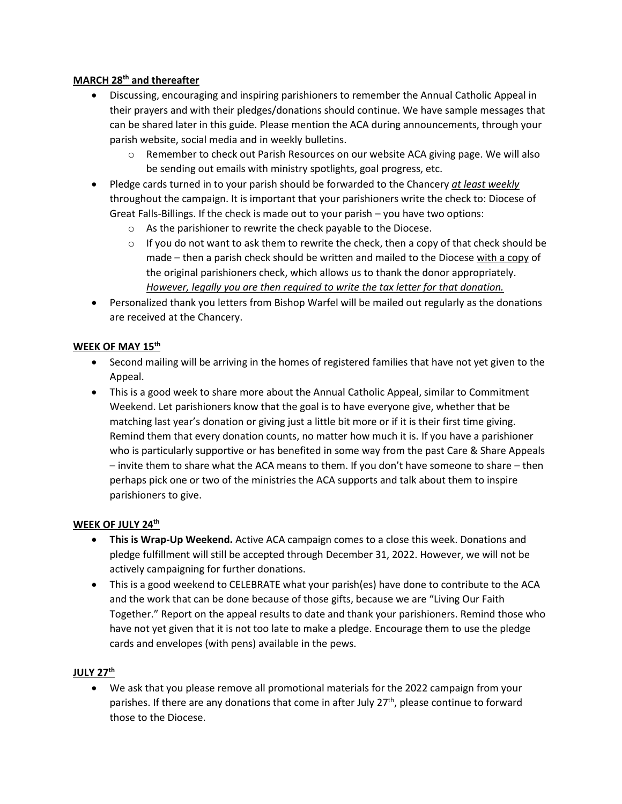## **MARCH 28th and thereafter**

- Discussing, encouraging and inspiring parishioners to remember the Annual Catholic Appeal in their prayers and with their pledges/donations should continue. We have sample messages that can be shared later in this guide. Please mention the ACA during announcements, through your parish website, social media and in weekly bulletins.
	- $\circ$  Remember to check out Parish Resources on our website ACA giving page. We will also be sending out emails with ministry spotlights, goal progress, etc.
- Pledge cards turned in to your parish should be forwarded to the Chancery *at least weekly* throughout the campaign. It is important that your parishioners write the check to: Diocese of Great Falls-Billings. If the check is made out to your parish – you have two options:
	- o As the parishioner to rewrite the check payable to the Diocese.
	- $\circ$  If you do not want to ask them to rewrite the check, then a copy of that check should be made – then a parish check should be written and mailed to the Diocese with a copy of the original parishioners check, which allows us to thank the donor appropriately. *However, legally you are then required to write the tax letter for that donation.*
- Personalized thank you letters from Bishop Warfel will be mailed out regularly as the donations are received at the Chancery.

## **WEEK OF MAY 15th**

- Second mailing will be arriving in the homes of registered families that have not yet given to the Appeal.
- This is a good week to share more about the Annual Catholic Appeal, similar to Commitment Weekend. Let parishioners know that the goal is to have everyone give, whether that be matching last year's donation or giving just a little bit more or if it is their first time giving. Remind them that every donation counts, no matter how much it is. If you have a parishioner who is particularly supportive or has benefited in some way from the past Care & Share Appeals – invite them to share what the ACA means to them. If you don't have someone to share – then perhaps pick one or two of the ministries the ACA supports and talk about them to inspire parishioners to give.

#### **WEEK OF JULY 24th**

- **This is Wrap-Up Weekend.** Active ACA campaign comes to a close this week. Donations and pledge fulfillment will still be accepted through December 31, 2022. However, we will not be actively campaigning for further donations.
- This is a good weekend to CELEBRATE what your parish(es) have done to contribute to the ACA and the work that can be done because of those gifts, because we are "Living Our Faith Together." Report on the appeal results to date and thank your parishioners. Remind those who have not yet given that it is not too late to make a pledge. Encourage them to use the pledge cards and envelopes (with pens) available in the pews.

#### **JULY 27th**

• We ask that you please remove all promotional materials for the 2022 campaign from your parishes. If there are any donations that come in after July 27<sup>th</sup>, please continue to forward those to the Diocese.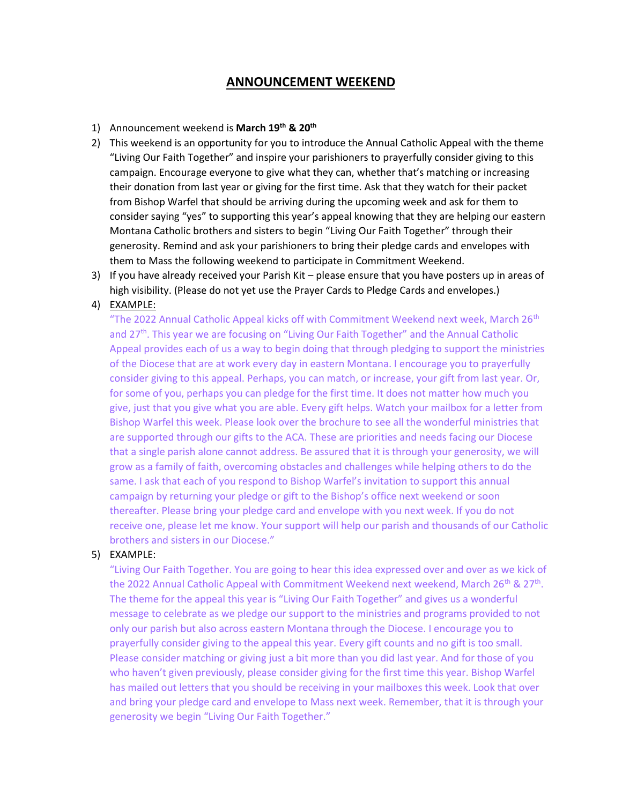# **ANNOUNCEMENT WEEKEND**

#### 1) Announcement weekend is **March 19th & 20th**

- 2) This weekend is an opportunity for you to introduce the Annual Catholic Appeal with the theme "Living Our Faith Together" and inspire your parishioners to prayerfully consider giving to this campaign. Encourage everyone to give what they can, whether that's matching or increasing their donation from last year or giving for the first time. Ask that they watch for their packet from Bishop Warfel that should be arriving during the upcoming week and ask for them to consider saying "yes" to supporting this year's appeal knowing that they are helping our eastern Montana Catholic brothers and sisters to begin "Living Our Faith Together" through their generosity. Remind and ask your parishioners to bring their pledge cards and envelopes with them to Mass the following weekend to participate in Commitment Weekend.
- 3) If you have already received your Parish Kit please ensure that you have posters up in areas of high visibility. (Please do not yet use the Prayer Cards to Pledge Cards and envelopes.)

#### 4) EXAMPLE:

"The 2022 Annual Catholic Appeal kicks off with Commitment Weekend next week, March 26<sup>th</sup> and 27<sup>th</sup>. This year we are focusing on "Living Our Faith Together" and the Annual Catholic Appeal provides each of us a way to begin doing that through pledging to support the ministries of the Diocese that are at work every day in eastern Montana. I encourage you to prayerfully consider giving to this appeal. Perhaps, you can match, or increase, your gift from last year. Or, for some of you, perhaps you can pledge for the first time. It does not matter how much you give, just that you give what you are able. Every gift helps. Watch your mailbox for a letter from Bishop Warfel this week. Please look over the brochure to see all the wonderful ministries that are supported through our gifts to the ACA. These are priorities and needs facing our Diocese that a single parish alone cannot address. Be assured that it is through your generosity, we will grow as a family of faith, overcoming obstacles and challenges while helping others to do the same. I ask that each of you respond to Bishop Warfel's invitation to support this annual campaign by returning your pledge or gift to the Bishop's office next weekend or soon thereafter. Please bring your pledge card and envelope with you next week. If you do not receive one, please let me know. Your support will help our parish and thousands of our Catholic brothers and sisters in our Diocese."

#### 5) EXAMPLE:

"Living Our Faith Together. You are going to hear this idea expressed over and over as we kick of the 2022 Annual Catholic Appeal with Commitment Weekend next weekend, March 26<sup>th</sup> & 27<sup>th</sup>. The theme for the appeal this year is "Living Our Faith Together" and gives us a wonderful message to celebrate as we pledge our support to the ministries and programs provided to not only our parish but also across eastern Montana through the Diocese. I encourage you to prayerfully consider giving to the appeal this year. Every gift counts and no gift is too small. Please consider matching or giving just a bit more than you did last year. And for those of you who haven't given previously, please consider giving for the first time this year. Bishop Warfel has mailed out letters that you should be receiving in your mailboxes this week. Look that over and bring your pledge card and envelope to Mass next week. Remember, that it is through your generosity we begin "Living Our Faith Together."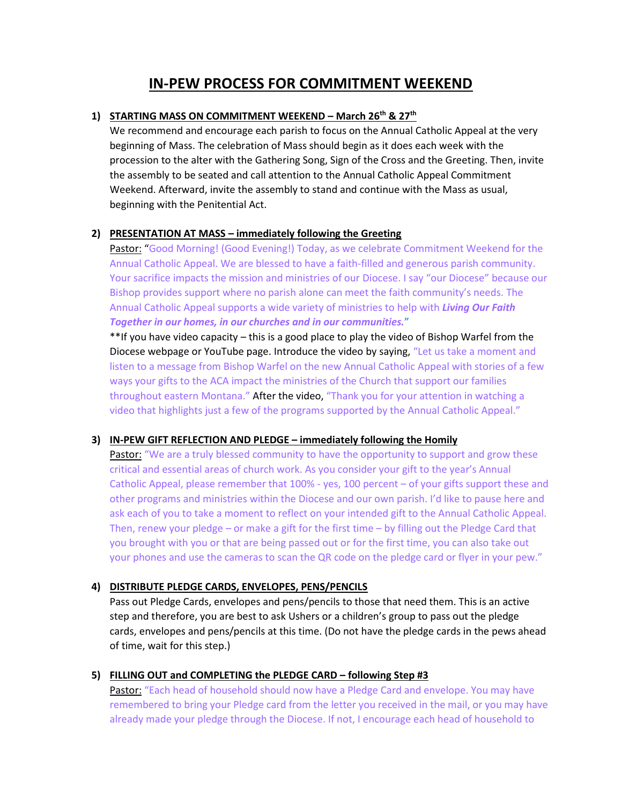# **IN-PEW PROCESS FOR COMMITMENT WEEKEND**

#### **1) STARTING MASS ON COMMITMENT WEEKEND – March 26th & 27th**

We recommend and encourage each parish to focus on the Annual Catholic Appeal at the very beginning of Mass. The celebration of Mass should begin as it does each week with the procession to the alter with the Gathering Song, Sign of the Cross and the Greeting. Then, invite the assembly to be seated and call attention to the Annual Catholic Appeal Commitment Weekend. Afterward, invite the assembly to stand and continue with the Mass as usual, beginning with the Penitential Act.

## **2) PRESENTATION AT MASS – immediately following the Greeting**

Pastor: "Good Morning! (Good Evening!) Today, as we celebrate Commitment Weekend for the Annual Catholic Appeal. We are blessed to have a faith-filled and generous parish community. Your sacrifice impacts the mission and ministries of our Diocese. I say "our Diocese" because our Bishop provides support where no parish alone can meet the faith community's needs. The Annual Catholic Appeal supports a wide variety of ministries to help with *Living Our Faith Together in our homes, in our churches and in our communities.*"

\*\*If you have video capacity – this is a good place to play the video of Bishop Warfel from the Diocese webpage or YouTube page. Introduce the video by saying, "Let us take a moment and listen to a message from Bishop Warfel on the new Annual Catholic Appeal with stories of a few ways your gifts to the ACA impact the ministries of the Church that support our families throughout eastern Montana." After the video, "Thank you for your attention in watching a video that highlights just a few of the programs supported by the Annual Catholic Appeal."

#### **3) IN-PEW GIFT REFLECTION AND PLEDGE – immediately following the Homily**

Pastor: "We are a truly blessed community to have the opportunity to support and grow these critical and essential areas of church work. As you consider your gift to the year's Annual Catholic Appeal, please remember that 100% - yes, 100 percent – of your gifts support these and other programs and ministries within the Diocese and our own parish. I'd like to pause here and ask each of you to take a moment to reflect on your intended gift to the Annual Catholic Appeal. Then, renew your pledge – or make a gift for the first time – by filling out the Pledge Card that you brought with you or that are being passed out or for the first time, you can also take out your phones and use the cameras to scan the QR code on the pledge card or flyer in your pew."

#### **4) DISTRIBUTE PLEDGE CARDS, ENVELOPES, PENS/PENCILS**

Pass out Pledge Cards, envelopes and pens/pencils to those that need them. This is an active step and therefore, you are best to ask Ushers or a children's group to pass out the pledge cards, envelopes and pens/pencils at this time. (Do not have the pledge cards in the pews ahead of time, wait for this step.)

#### **5) FILLING OUT and COMPLETING the PLEDGE CARD – following Step #3**

Pastor: "Each head of household should now have a Pledge Card and envelope. You may have remembered to bring your Pledge card from the letter you received in the mail, or you may have already made your pledge through the Diocese. If not, I encourage each head of household to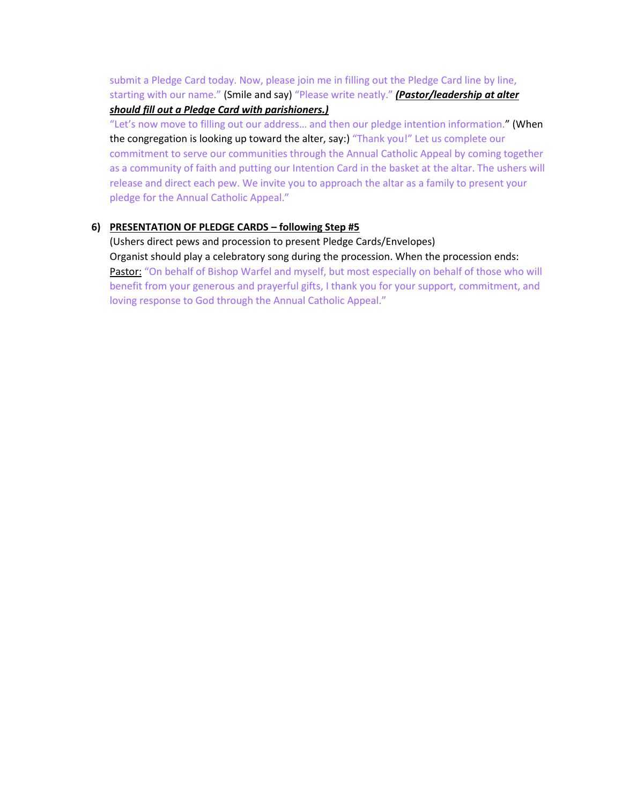submit a Pledge Card today. Now, please join me in filling out the Pledge Card line by line, starting with our name." (Smile and say) "Please write neatly." *(Pastor/leadership at alter should fill out a Pledge Card with parishioners.)*

"Let's now move to filling out our address… and then our pledge intention information." (When the congregation is looking up toward the alter, say:) "Thank you!" Let us complete our commitment to serve our communities through the Annual Catholic Appeal by coming together as a community of faith and putting our Intention Card in the basket at the altar. The ushers will release and direct each pew. We invite you to approach the altar as a family to present your pledge for the Annual Catholic Appeal."

## **6) PRESENTATION OF PLEDGE CARDS – following Step #5**

(Ushers direct pews and procession to present Pledge Cards/Envelopes) Organist should play a celebratory song during the procession. When the procession ends: Pastor: "On behalf of Bishop Warfel and myself, but most especially on behalf of those who will benefit from your generous and prayerful gifts, I thank you for your support, commitment, and loving response to God through the Annual Catholic Appeal."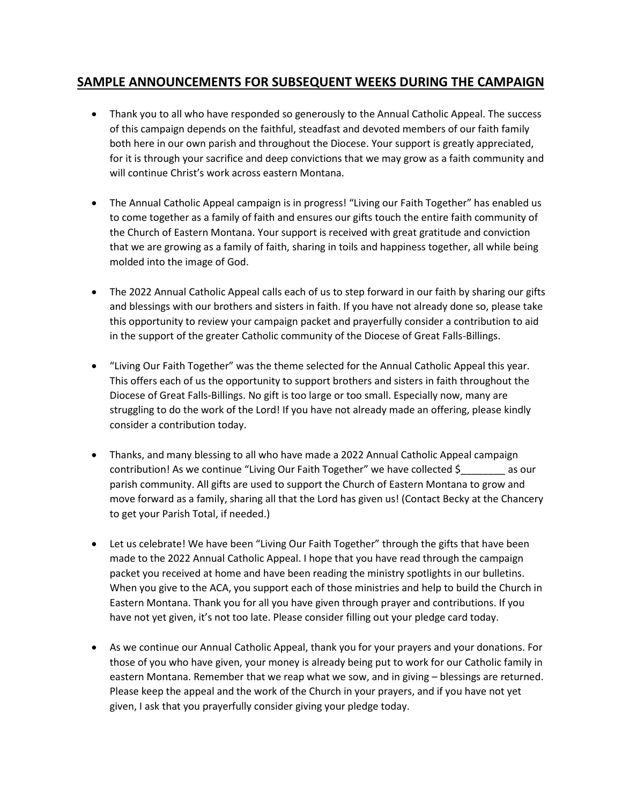# **SAMPLE ANNOUNCEMENTS FOR SUBSEQUENT WEEKS DURING THE CAMPAIGN**

- Thank you to all who have responded so generously to the Annual Catholic Appeal. The success of this campaign depends on the faithful, steadfast and devoted members of our faith family both here in our own parish and throughout the Diocese. Your support is greatly appreciated, for it is through your sacrifice and deep convictions that we may grow as a faith community and will continue Christ's work across eastern Montana.
- The Annual Catholic Appeal campaign is in progress! "Living our Faith Together" has enabled us to come together as a family of faith and ensures our gifts touch the entire faith community of the Church of Eastern Montana. Your support is received with great gratitude and conviction that we are growing as a family of faith, sharing in toils and happiness together, all while being molded into the image of God.
- The 2022 Annual Catholic Appeal calls each of us to step forward in our faith by sharing our gifts and blessings with our brothers and sisters in faith. If you have not already done so, please take this opportunity to review your campaign packet and prayerfully consider a contribution to aid in the support of the greater Catholic community of the Diocese of Great Falls-Billings.
- "Living Our Faith Together" was the theme selected for the Annual Catholic Appeal this year. This offers each of us the opportunity to support brothers and sisters in faith throughout the Diocese of Great Falls-Billings. No gift is too large or too small. Especially now, many are struggling to do the work of the Lord! If you have not already made an offering, please kindly consider a contribution today.
- Thanks, and many blessing to all who have made a 2022 Annual Catholic Appeal campaign contribution! As we continue "Living Our Faith Together" we have collected \$\_\_\_\_\_\_\_\_ as our parish community. All gifts are used to support the Church of Eastern Montana to grow and move forward as a family, sharing all that the Lord has given us! (Contact Becky at the Chancery to get your Parish Total, if needed.)
- Let us celebrate! We have been "Living Our Faith Together" through the gifts that have been made to the 2022 Annual Catholic Appeal. I hope that you have read through the campaign packet you received at home and have been reading the ministry spotlights in our bulletins. When you give to the ACA, you support each of those ministries and help to build the Church in Eastern Montana. Thank you for all you have given through prayer and contributions. If you have not yet given, it's not too late. Please consider filling out your pledge card today.
- As we continue our Annual Catholic Appeal, thank you for your prayers and your donations. For those of you who have given, your money is already being put to work for our Catholic family in eastern Montana. Remember that we reap what we sow, and in giving – blessings are returned. Please keep the appeal and the work of the Church in your prayers, and if you have not yet given, I ask that you prayerfully consider giving your pledge today.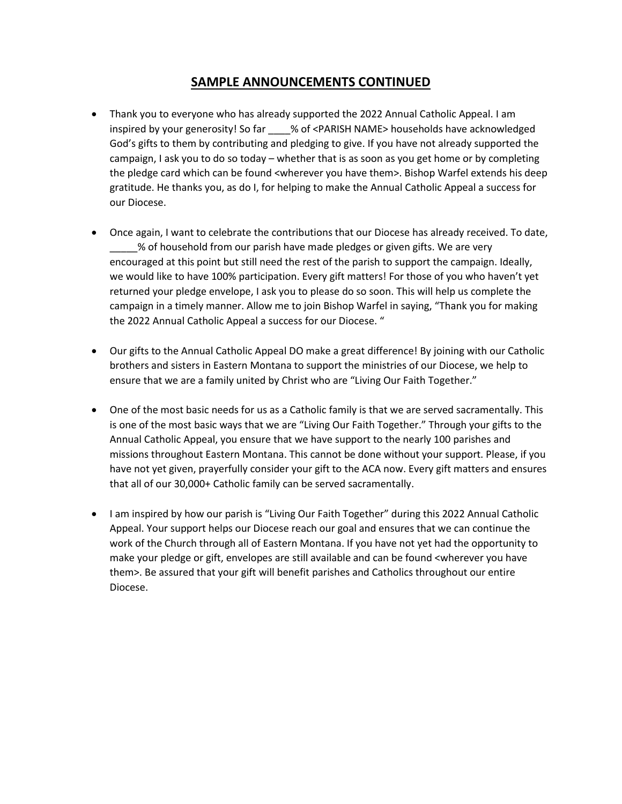# **SAMPLE ANNOUNCEMENTS CONTINUED**

- Thank you to everyone who has already supported the 2022 Annual Catholic Appeal. I am inspired by your generosity! So far \_\_\_\_% of <PARISH NAME> households have acknowledged God's gifts to them by contributing and pledging to give. If you have not already supported the campaign, I ask you to do so today – whether that is as soon as you get home or by completing the pledge card which can be found <wherever you have them>. Bishop Warfel extends his deep gratitude. He thanks you, as do I, for helping to make the Annual Catholic Appeal a success for our Diocese.
- Once again, I want to celebrate the contributions that our Diocese has already received. To date, \_\_\_\_\_% of household from our parish have made pledges or given gifts. We are very encouraged at this point but still need the rest of the parish to support the campaign. Ideally, we would like to have 100% participation. Every gift matters! For those of you who haven't yet returned your pledge envelope, I ask you to please do so soon. This will help us complete the campaign in a timely manner. Allow me to join Bishop Warfel in saying, "Thank you for making the 2022 Annual Catholic Appeal a success for our Diocese. "
- Our gifts to the Annual Catholic Appeal DO make a great difference! By joining with our Catholic brothers and sisters in Eastern Montana to support the ministries of our Diocese, we help to ensure that we are a family united by Christ who are "Living Our Faith Together."
- One of the most basic needs for us as a Catholic family is that we are served sacramentally. This is one of the most basic ways that we are "Living Our Faith Together." Through your gifts to the Annual Catholic Appeal, you ensure that we have support to the nearly 100 parishes and missions throughout Eastern Montana. This cannot be done without your support. Please, if you have not yet given, prayerfully consider your gift to the ACA now. Every gift matters and ensures that all of our 30,000+ Catholic family can be served sacramentally.
- I am inspired by how our parish is "Living Our Faith Together" during this 2022 Annual Catholic Appeal. Your support helps our Diocese reach our goal and ensures that we can continue the work of the Church through all of Eastern Montana. If you have not yet had the opportunity to make your pledge or gift, envelopes are still available and can be found <wherever you have them>. Be assured that your gift will benefit parishes and Catholics throughout our entire Diocese.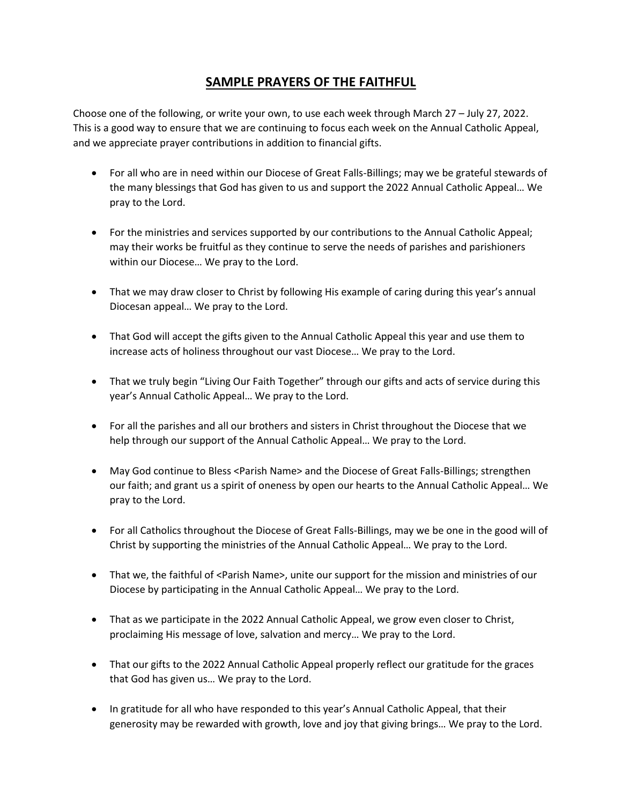# **SAMPLE PRAYERS OF THE FAITHFUL**

Choose one of the following, or write your own, to use each week through March 27 – July 27, 2022. This is a good way to ensure that we are continuing to focus each week on the Annual Catholic Appeal, and we appreciate prayer contributions in addition to financial gifts.

- For all who are in need within our Diocese of Great Falls-Billings; may we be grateful stewards of the many blessings that God has given to us and support the 2022 Annual Catholic Appeal… We pray to the Lord.
- For the ministries and services supported by our contributions to the Annual Catholic Appeal; may their works be fruitful as they continue to serve the needs of parishes and parishioners within our Diocese… We pray to the Lord.
- That we may draw closer to Christ by following His example of caring during this year's annual Diocesan appeal… We pray to the Lord.
- That God will accept the gifts given to the Annual Catholic Appeal this year and use them to increase acts of holiness throughout our vast Diocese… We pray to the Lord.
- That we truly begin "Living Our Faith Together" through our gifts and acts of service during this year's Annual Catholic Appeal… We pray to the Lord.
- For all the parishes and all our brothers and sisters in Christ throughout the Diocese that we help through our support of the Annual Catholic Appeal… We pray to the Lord.
- May God continue to Bless <Parish Name> and the Diocese of Great Falls-Billings; strengthen our faith; and grant us a spirit of oneness by open our hearts to the Annual Catholic Appeal… We pray to the Lord.
- For all Catholics throughout the Diocese of Great Falls-Billings, may we be one in the good will of Christ by supporting the ministries of the Annual Catholic Appeal… We pray to the Lord.
- That we, the faithful of <Parish Name>, unite our support for the mission and ministries of our Diocese by participating in the Annual Catholic Appeal… We pray to the Lord.
- That as we participate in the 2022 Annual Catholic Appeal, we grow even closer to Christ, proclaiming His message of love, salvation and mercy… We pray to the Lord.
- That our gifts to the 2022 Annual Catholic Appeal properly reflect our gratitude for the graces that God has given us… We pray to the Lord.
- In gratitude for all who have responded to this year's Annual Catholic Appeal, that their generosity may be rewarded with growth, love and joy that giving brings… We pray to the Lord.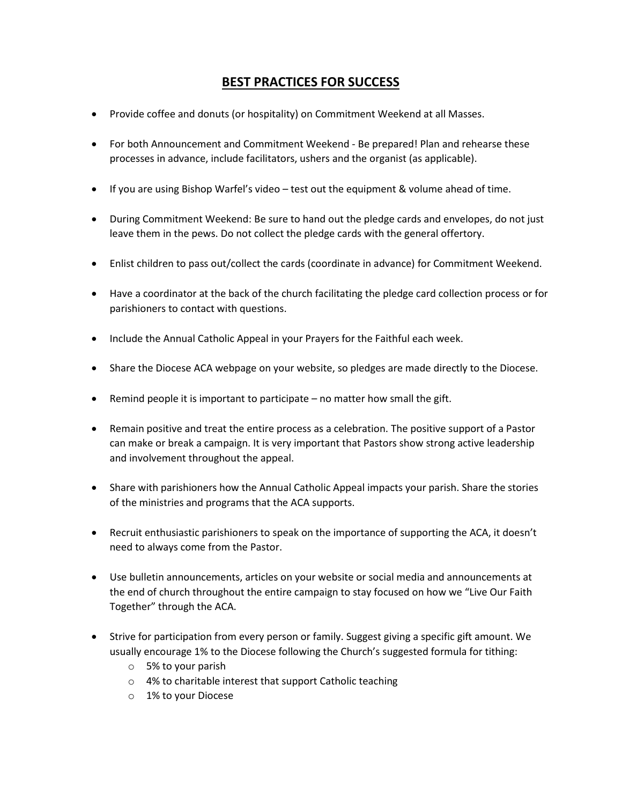# **BEST PRACTICES FOR SUCCESS**

- Provide coffee and donuts (or hospitality) on Commitment Weekend at all Masses.
- For both Announcement and Commitment Weekend Be prepared! Plan and rehearse these processes in advance, include facilitators, ushers and the organist (as applicable).
- If you are using Bishop Warfel's video test out the equipment & volume ahead of time.
- During Commitment Weekend: Be sure to hand out the pledge cards and envelopes, do not just leave them in the pews. Do not collect the pledge cards with the general offertory.
- Enlist children to pass out/collect the cards (coordinate in advance) for Commitment Weekend.
- Have a coordinator at the back of the church facilitating the pledge card collection process or for parishioners to contact with questions.
- Include the Annual Catholic Appeal in your Prayers for the Faithful each week.
- Share the Diocese ACA webpage on your website, so pledges are made directly to the Diocese.
- Remind people it is important to participate no matter how small the gift.
- Remain positive and treat the entire process as a celebration. The positive support of a Pastor can make or break a campaign. It is very important that Pastors show strong active leadership and involvement throughout the appeal.
- Share with parishioners how the Annual Catholic Appeal impacts your parish. Share the stories of the ministries and programs that the ACA supports.
- Recruit enthusiastic parishioners to speak on the importance of supporting the ACA, it doesn't need to always come from the Pastor.
- Use bulletin announcements, articles on your website or social media and announcements at the end of church throughout the entire campaign to stay focused on how we "Live Our Faith Together" through the ACA.
- Strive for participation from every person or family. Suggest giving a specific gift amount. We usually encourage 1% to the Diocese following the Church's suggested formula for tithing:
	- o 5% to your parish
	- o 4% to charitable interest that support Catholic teaching
	- o 1% to your Diocese